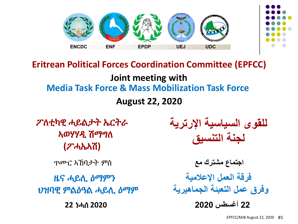

**Joint meeting with August 22, 2020 Eritrean Political Forces Coordination Committee (EPFCC) Media Task Force & Mass Mobilization Task Force**

ፖለቲካዊ ሓይልታት ኤርትራ ኣወሃሃዲ ሽማግለ **(**ፖሓኤኣሽ**)** 

ጥሙር ኣኸባታት ምስ

ዜና ሓይሊ ዕማምን ህዝባዊ ምልዕዓል ሓይሊ ዕማም

**22** ነሓሰ **2020**

**للقوى السياسية اإلرترية لجنة التنسيق**

**اجتماع مشترك مع 22 أغسطس 2020 فرقة العمل اإلعالمية وفرق عمل التعبئة الجماهيرية**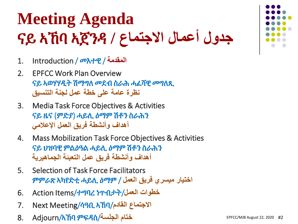#### **Meeting Agenda جدول أعمال االجتماع /** ኣጀንዳ ኣኸባ ናይ

- 1. Introduction / መእተዊ / **المقدمة**
- 2. EPFCC Work Plan Overview ናይ ኣወሃሃዲት ሽማግለ መደብ ስራሕ ሓፈሻዊ መግለጺ **نظرة عامة على خطة عمل لجنة التنسيق**
- 3. Media Task Force Objectives & Activities ናይ ዜና (ምድያ) ሓይሊ ዕማም ሽቶን ስራሕን **أهداف وأنشطة فريق العمل اإلعالمي**
- 4. Mass Mobilization Task Force Objectives & Activities ናይ ህዝባዊ ምልዕዓል ሓይሊ ዕማም ሽቶን ስራሕን **أهداف وأنشطة فريق عمل التعبئة الجماهيرية**
- 5. Selection of Task Force Facilitators **اختيار ميسري فريق العمل** / ዕማም ሓይሊ ኣካየድቲ ምምራጽ
- 6. Action Items/ተግባረ ነጥብታት/**العمل خطوات**
- 7. Next Meeting/ሳዓቢ ኣኸባ/**القادم االجتماع**
- 8. Adjourn/ኣኸባ ምፍዳስ/**الجلسة ختام**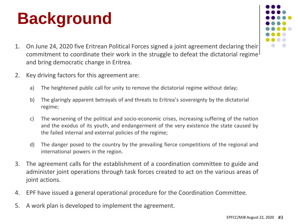#### **Background**

- 
- 1. On June 24, 2020 five Eritrean Political Forces signed a joint agreement declaring their commitment to coordinate their work in the struggle to defeat the dictatorial regime<sup>1</sup> and bring democratic change in Eritrea.
- 2. Key driving factors for this agreement are:
	- a) The heightened public call for unity to remove the dictatorial regime without delay;
	- b) The glaringly apparent betrayals of and threats to Eritrea's sovereignty by the dictatorial regime;
	- c) The worsening of the political and socio-economic crises, increasing suffering of the nation and the exodus of its youth, and endangerment of the very existence the state caused by the failed internal and external policies of the regime;
	- d) The danger posed to the country by the prevailing fierce competitions of the regional and international powers in the region.
- 3. The agreement calls for the establishment of a coordination committee to guide and administer joint operations through task forces created to act on the various areas of joint actions.
- 4. EPF have issued a general operational procedure for the Coordination Committee.
- 5. A work plan is developed to implement the agreement.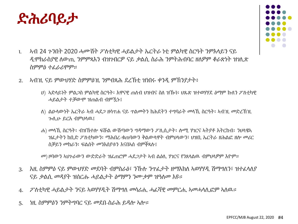

- 1. ኣብ 24 ጉንበት 2020 ሓሙሽት ፖለቲካዊ ሓይልታት ኤርትራ ነቲ ምልካዊ ስርዓት ንምእላይን ናይ ዲሞክራስያዊ ለውጢ ንምምጻእን ብዝገብርዎ ናይ ቃልሲ ስራሕ ንምትሕብባር ዘለዎም ቆራጽነት ዝገሊጽ ስምምዕ ተፈራሪሞም።
- 2. ኣብ'ዚ ናይ ምውህሃድ ስምምዕ'ዚ ንምብጻሕ ደረኽቲ ዝነበሩ ቀንዲ ምኽንያታት፥
	- ሀ) ኣድላይነት ምልጋስ ምልካዊ ስርዓት፡ እዋናዊ ጠለብ ህዝብና ስለ ዝዀነ፡ ህጹጽ ዝተወሃሃደ ዕማም ኩለን ፖለቲካዊ ሓይልታት ተቓውሞ ዝጠልብ ብምዃኑ፤
	- ለ) ልዑላውነት ኤርትራ ኣብ ሓደጋ ዘሳጥሐ ናይ ጥልመትን ክሕደትን ተግባራት መላኺ ስርዓት፡ ኣብ'ዚ መድረኽ'ዚ ጐሊሁ ይርአ ብምህላዉ፤
	- ሐ) መላኺ ስርዓት፡ ብዝኽተሎ ፍሹል ውሽጣውን ግዳማውን ፖሊሲታት፡ ሎሚ ሃገርና ኣትያቶ እትርከብ፡ ንህላዌኣ ዝፈታትን ከቢድ ፖለቲካውን፡ ማሕበረ-ቁጠባውን ቅልውላዋት ብምህላውን፣ ህዝቢ ኤርትራ ዘሕልፎ ዘሎ መሪር ስቓይን መከራን፡ ፍልሰት መንእሰያቱን እናበኣሰ ብምቕጻሉ፤

መ) ዞባውን ኣህጉራውን ውድድራት ዝፈጠሮም ሓደጋታት ኣብ ልዕሊ ሃገርና የንጸላልዉ ብምህላዎም እዮም።

- 3. እዚ ስምምዕ ናይ ምውህሃድ መደባት ብምስራዕ፣ ንኹሉ ንጥፈታት ዘማእክለ ኣወሃሃዲ ሽማግለን፣ ዝተፈላለያ ናይ ቃልሲ መዳያት ዝሰርሑ ሓይልታት ዕማምን ንሙቃም ዝዓለመ እዩ።
- 4. ፖለቲካዊ ሓይልታት ንናይ ኣወሃሃዲት ሽማግለ መሳሪሒ ሓፈሻዊ መምርሒ ኣመሓላሊፎም ኣለዉ።
- 5. ነዚ ስምምዕን ንምትግባር ናይ መደበ-ስራሕ ይዳሎ ኣሎ።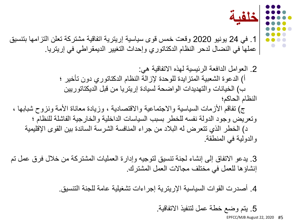.1 في 24 يونيو 2020 وقعت خمس قوى سياسية إريترية اتفاقية مشتركة تعلن التزامها بتنسيق عملها في النضال لدحر النظام الدكتاتوري وإحداث التغيير الديمقراطي في إريتريا.

.2 العوامل الدافعة الرئيسية لهذه االتفاقية هي: أ) الدعوة الشعبية المتزايدة للوحدة لإزالة النظام الدكتاتوري دون تأخير ؛ ب) الخيانات والتهديدات الواضحة لسيادة إريتريا من قبل الديكتاتوريين النظام الحاكم؛ ج) تفاقم الأزمات السياسية والاجتماعية والاقتصادية ، وزيادة معاناة الأمة ونزوح شبابها ، وتعريض وجود الدولة نفسه للخطر بسبب السياسات الداخلية والخارجية الفاشلة للنظام ؛

د) الخطر الذي تتعرض له البلاد من جراء المنافسة الشرسة السائدة بين القوى الإقليمية والدولية في المنطقة.

.3 يدعو االتفاق إلى إنشاء لجنة تنسيق لتوجيه وإدارة العمليات المشتركة من خالل فرق عمل تم إنشاؤها للعمل في مختلف مجاالت العمل المشترك.

.4 أصدرت القوات السياسية اإلريترية إجراءات تشغيلية عامة للجنة التنسيق.

.5 يتم وضع خطة عمل لتنفيذ االتفاقية.

**خلفية**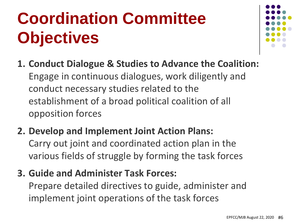## **Coordination Committee Objectives**



- **1. Conduct Dialogue & Studies to Advance the Coalition:**  Engage in continuous dialogues, work diligently and conduct necessary studies related to the establishment of a broad political coalition of all opposition forces
- **2. Develop and Implement Joint Action Plans:**  Carry out joint and coordinated action plan in the various fields of struggle by forming the task forces
- **3. Guide and Administer Task Forces:**

Prepare detailed directives to guide, administer and implement joint operations of the task forces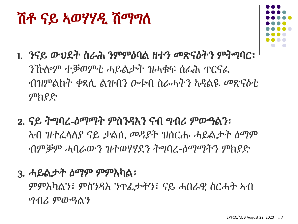#### EPFCC/MJB August 22, 2020 #7

3. ሓይልታት ዕማም ምምእካል፡ ምምእካልን፣ ምስንዳእ ንጥፈታትን፣ ናይ ሓበራዊ ስርሓት ኣብ ግብሪ ምውዓልን

- ንኹሎም ተቓወምቲ ሓይልታት ዝሓቁፍ ሰፊሕ ጥርናፈ ምክያድ
- 1. ንናይ ውህደት ስራሕ ንምምዕባል ዘተን መጽናዕትን ምትግባር፡ ብዝምልከት ቀጻሊ ልዝብን ዑቱብ ስራሓትን ኣዳልዪ መጽናዕቲ
- 2. ናይ ትግባረ-ዕማማት ምስንዳእን ናብ ግብሪ ምውዓልን፡ ኣብ ዝተፈላለያ ናይ ቃልሲ መዳያት ዝሰርሑ ሓይልታት ዕማም ብምቓም ሓባራውን ዝተወሃሃደን ትግባረ-ዕማማትን ምክያድ

## ሽቶ ናይ ኣወሃሃዲ ሽማግለ

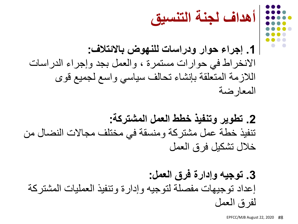**أهداف لجنة التنسيق**

**.1 إجراء حوار ودراسات للنهوض باالئتالف:** االنخراط في حوارات مستمرة ، والعمل بجد وإجراء الدراسات الالزمة المتعلقة بإنشاء تحالف سياسي واسع لجميع قوى المعارضة

**.2 تطوير وتنفيذ خطط العمل المشتركة:** تنفيذ خطة عمل مشتركة ومنسقة في مختلف مجاالت النضال من خالل تشكيل فرق العمل

**.3 توجيه وإدارة فرق العمل:** إعداد توجيهات مفصلة لتوجيه وإدارة وتنفيذ العمليات المشتركة لفرق العمل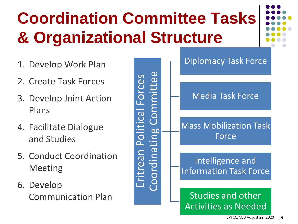## **Coordination Committee Tasks & Organizational Structure**



- 1. Develop Work Plan
- 2. Create Task Forces
- 3. Develop Joint Action Plans
- 4. Facilitate Dialogue and Studies
- 5. Conduct Coordination Meeting
- 6. Develop Communication Plan

Eritrean Political Forces<br>Coordinating Committee

Diplomacy Task Force

#### Media Task Force

#### Mass Mobilization Task Force

#### Intelligence and Information Task Force

#### Studies and other Activities as Needed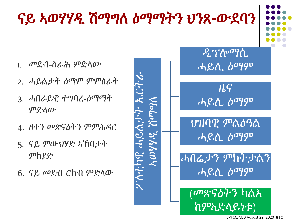## ናይ ኣወሃሃዲ ሽማግለ ዕማማትን ህንጸ**-**ውደባን

- 1. መደብ-ስራሕ ምድላው
- 2. ሓይልታት ዕማም ምምስራት
- 3. ሓበራይዊ ተግባረ-ዕማማት ምድላው
- 4. ዘተን መጽናዕትን ምምሕዳር
- 5. ናይ ምውህሃድ ኣኸባታት ምክያድ
- 6. ናይ መደብ-ርክብ ምድላው

ፖለቲካዊ<br>አወ ዲፕሎማሲ ሓይሊ ዕማም ዜና ሓይሊ ዕማም ህዝባዊ ምልዕዓል ሓይሊ ዕማም ሓበሬታን ምክትታልን ሓይሊ ዕማም (መጽናዕትን ካልእ

ከምኣድላይነቱ)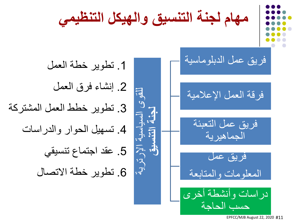فريق عمل الدبلوماسية

فرقة العمل اإلعالمية

فريق عمل التعبئة الجماهيرية

فريق عمل المعلومات والمتابعة

دراسات وأنشطة أخرى حسب الحاجة

مهام لجثة التنسية والهيكل التنظيمي  
عمل الدبلوماسية 1.  
العلامية 3.  
العالمية 3.  
الجماهيرية 4. تسهيل الحوار والدراسات  
فريق عمل التعية، 
$$
5. تطوير خطط العمل المشتركةفريق عمل التعية،  $5.5.5.$   
لومات والمتابعة 5. تطوير خطة الاتصال  
لومات والمتابعة
$$

EPFCC/MJB August 22, 2020 #11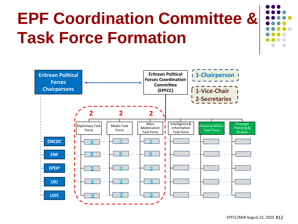## **EPF Coordination Committee & Task Force Formation**

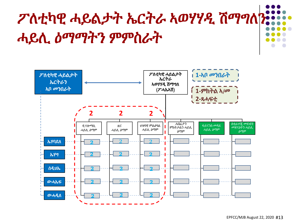## ፖለቲካዊ ሓይልታት ኤርትራ ኣወሃሃዲ ሽማግለን ሓይሊ ዕማማትን ምምስራት

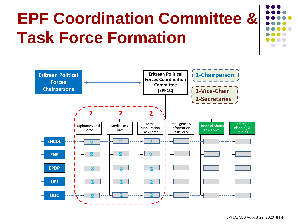## **EPF Coordination Committee & Task Force Formation**

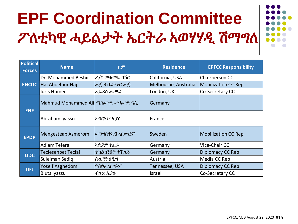#### **EPF Coordination Committee** ፖለቲካዊ ሓይልታት ኤርትራ ኣወሃሃዲ ሽማግለ



|                                   | <u>.</u><br>$\sim$                       | .                     |                      |                             |
|-----------------------------------|------------------------------------------|-----------------------|----------------------|-----------------------------|
| <b>Political</b><br><b>Forces</b> | <b>Name</b>                              | ስም                    | <b>Residence</b>     | <b>EPFCC Responsibility</b> |
|                                   | Dr. Mohammed Beshir                      | ዶ/ር መሓመድ በሽር          | California, USA      | Chairperson CC              |
|                                   | <b>ENCDC</b> Haj Abdelnur Haj            | ሓጅ ዓብድልኑር ሓጅ          | Melbourne, Australia | <b>Mobilization CC Rep</b>  |
|                                   | <b>Idris Humed</b>                       | ኢድሪስ ሑመድ              | London, UK           | Co-Secretary CC             |
| <b>ENF</b>                        | Mahmud Mohammed Ali <i>ጣሕሙድ መሓመድ ዓ</i> ሲ |                       | Germany              |                             |
|                                   | Abraham Iyassu                           | ኣብርሃም ኢያሱ             | France               |                             |
| <b>EPDP</b>                       | <b>Mengesteab Asmerom</b>                | <i>መንግ</i> ስትኣብ ኣስመሮም | Sweden               | <b>Mobilization CC Rep</b>  |
|                                   | Adiam Tefera                             | ኢድያም ተፈራ              | Germany              | Vice-Chair CC               |
| <b>UDC</b>                        | <b>Teclesenbet Teclai</b>                | ተክልሰንበት ተኸላይ          | Germany              | Diplomacy CC Rep            |
|                                   | Suleiman Sediq                           | ሱሌማነ ሰዲግ              | Austria              | Media CC Rep                |
| <b>UEJ</b>                        | Yoseif Asghedom                          | ዮስየፍ ኣስንዶም            | Tennessee, USA       | Diplomacy CC Rep            |
|                                   | <b>Bluts Iyassu</b>                      | ብሉጽ ኢያሱ               | Israel               | Co-Secretary CC             |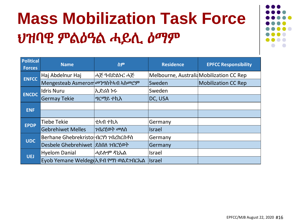#### **Mass Mobilization Task Force** ህዝባዊ ምልዕዓል ሓይሊ ዕማም



| <b>Political</b><br><b>Forces</b> | <b>Name</b>                          | ስም              | <b>Residence</b>                         | <b>EPFCC Responsibility</b> |
|-----------------------------------|--------------------------------------|-----------------|------------------------------------------|-----------------------------|
| <b>ENFCC</b>                      | Haj Abdelnur Haj                     | ሓጅ ዓብድልኑር ሓጅ    | Melbourne, Australid Mobilization CC Rep |                             |
|                                   | Mengesteab Asmerom መንግስትኣብ ኣስመሮም     |                 | Sweden                                   | <b>Mobilization CC Rep</b>  |
| <b>ENCDC</b>                      | <b>Idris Nuru</b>                    | ኢድሪስ ኑሩ         | Sweden                                   |                             |
|                                   | <b>Germay Tekie</b>                  | <i>ግርጣይ</i> ተኪእ | DC, USA                                  |                             |
| <b>ENF</b>                        |                                      |                 |                                          |                             |
|                                   |                                      |                 |                                          |                             |
| <b>EPDP</b>                       | Tiebe Tekie                          | ቲኣብ ተኪኣ         | Germany                                  |                             |
|                                   | <b>Gebrehiwet Melles</b>             | ፖብሪሂወት መለስ      | <b>Israel</b>                            |                             |
| <b>UDC</b>                        | Berhane Ghebrekristol በርሃነ ገብረከርስቶስ  |                 | Germany                                  |                             |
|                                   | Desbele Ghebrehiwet  ደስበለ ንብርሂወት     |                 | Germany                                  |                             |
| <b>UEJ</b>                        | <b>Hyelom Danial</b>                 | ሓይሎም ዳኒኤል       | Israel                                   |                             |
|                                   | Eyob Yemane Weldeg & Rብ የማነ ወልደንብርኤል |                 | Israel                                   |                             |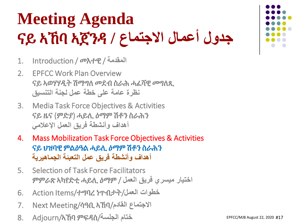#### **Meeting Agenda جدول أعمال االجتماع /** ኣጀንዳ ኣኸባ ናይ

- 1. Introduction / መእተዊ / **المقدمة**
- 2. EPFCC Work Plan Overview ናይ ኣወሃሃዲት ሽማግለ መደብ ስራሕ ሓፈሻዊ መግለጺ **نظرة عامة على خطة عمل لجنة التنسيق**
- 3. Media Task Force Objectives & Activities ናይ ዜና (ምድያ) ሓይሊ ዕማም ሽቶን ስራሕን **أهداف وأنشطة فريق العمل اإلعالمي**
- 4. Mass Mobilization Task Force Objectives & Activities ናይ ህዝባዊ ምልዕዓል ሓይሊ ዕማም ሽቶን ስራሕን **أهداف وأنشطة فريق عمل التعبئة الجماهيرية**
- 5. Selection of Task Force Facilitators **اختيار ميسري فريق العمل** / ዕማም ሓይሊ ኣካየድቲ ምምራጽ
- 6. Action Items/ተግባረ ነጥብታት/**العمل خطوات**
- 7. Next Meeting/ሳዓቢ ኣኸባ/**القادم االجتماع**
- 8. Adjourn/ኣኸባ ምፍዳስ/**الجلسة ختام**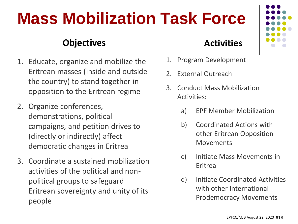#### **Mass Mobilization Task Force**

#### **Objectives Activities**

- 1. Educate, organize and mobilize the Eritrean masses (inside and outside the country) to stand together in opposition to the Eritrean regime
- 2. Organize conferences, demonstrations, political campaigns, and petition drives to (directly or indirectly) affect democratic changes in Eritrea
- 3. Coordinate a sustained mobilization activities of the political and nonpolitical groups to safeguard Eritrean sovereignty and unity of its people

- 1. Program Development
- 2. External Outreach
- 3. Conduct Mass Mobilization Activities:
	- a) EPF Member Mobilization
	- b) Coordinated Actions with other Eritrean Opposition Movements
	- c) Initiate Mass Movements in Eritrea
	- d) Initiate Coordinated Activities with other International Prodemocracy Movements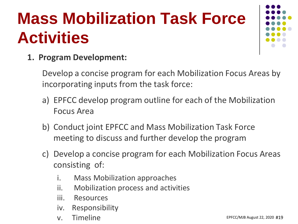### **Mass Mobilization Task Force Activities**



**1. Program Development:** 

Develop a concise program for each Mobilization Focus Areas by incorporating inputs from the task force:

- a) EPFCC develop program outline for each of the Mobilization Focus Area
- b) Conduct joint EPFCC and Mass Mobilization Task Force meeting to discuss and further develop the program
- c) Develop a concise program for each Mobilization Focus Areas consisting of:
	- i. Mass Mobilization approaches
	- ii. Mobilization process and activities
	- iii. Resources
	- iv. Responsibility
	- v. Timeline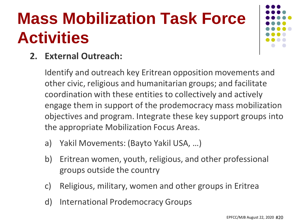### **Mass Mobilization Task Force Activities**



#### **2. External Outreach:**

Identify and outreach key Eritrean opposition movements and other civic, religious and humanitarian groups; and facilitate coordination with these entities to collectively and actively engage them in support of the prodemocracy mass mobilization objectives and program. Integrate these key support groups into the appropriate Mobilization Focus Areas.

- a) Yakil Movements: (Bayto Yakil USA, …)
- b) Eritrean women, youth, religious, and other professional groups outside the country
- c) Religious, military, women and other groups in Eritrea
- d) International Prodemocracy Groups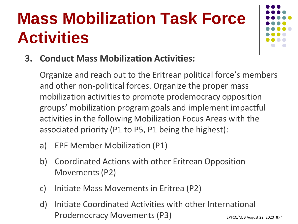#### **Mass Mobilization Task Force Activities**



**3. Conduct Mass Mobilization Activities:**

Organize and reach out to the Eritrean political force's members and other non-political forces. Organize the proper mass mobilization activities to promote prodemocracy opposition groups' mobilization program goals and implement impactful activities in the following Mobilization Focus Areas with the associated priority (P1 to P5, P1 being the highest):

- a) EPF Member Mobilization (P1)
- b) Coordinated Actions with other Eritrean Opposition Movements (P2)
- c) Initiate Mass Movements in Eritrea (P2)
- d) Initiate Coordinated Activities with other International Prodemocracy Movements (P3)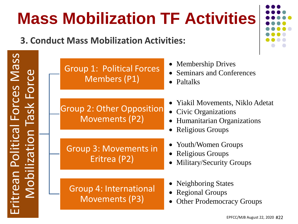# Eritrean Political Forces Mass Eritrean Political Forces Mass Force Mobilization Task Force **Jask** Mobilization

#### **Mass Mobilization TF Activities**

#### **3. Conduct Mass Mobilization Activities:**

| <b>Group 1: Political Forces</b><br><b>Members (P1)</b>   | • Membership Drives<br><b>Seminars and Conferences</b><br>$\bullet$ Paltalks                                         |  |
|-----------------------------------------------------------|----------------------------------------------------------------------------------------------------------------------|--|
| <b>Group 2: Other Opposition</b><br><b>Movements (P2)</b> | • Yiakil Movements, Niklo Adetat<br>• Civic Organizations<br>• Humanitarian Organizations<br><b>Religious Groups</b> |  |
| <b>Group 3: Movements in</b><br>Eritrea (P2)              | • Youth/Women Groups<br>• Religious Groups<br><b>Military/Security Groups</b>                                        |  |
| <b>Group 4: International</b><br><b>Movements (P3)</b>    | • Neighboring States<br>• Regional Groups<br><b>Other Prodemocracy Groups</b>                                        |  |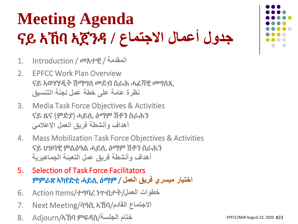#### **Meeting Agenda جدول أعمال االجتماع /** ኣጀንዳ ኣኸባ ናይ

- 1. Introduction / መእተዊ / **المقدمة**
- 2. EPFCC Work Plan Overview ናይ ኣወሃሃዲት ሽማግለ መደብ ስራሕ ሓፈሻዊ መግለጺ **نظرة عامة على خطة عمل لجنة التنسيق**
- 3. Media Task Force Objectives & Activities ናይ ዜና (ምድያ) ሓይሊ ዕማም ሽቶን ስራሕን **أهداف وأنشطة فريق العمل اإلعالمي**
- 4. Mass Mobilization Task Force Objectives & Activities ናይ ህዝባዊ ምልዕዓል ሓይሊ ዕማም ሽቶን ስራሕን **أهداف وأنشطة فريق عمل التعبئة الجماهيرية**
- 5. Selection of Task Force Facilitators **اختيار ميسري فريق العمل** / ዕማም ሓይሊ ኣካየድቲ ምምራጽ
- 6. Action Items/ተግባረ ነጥብታት/**العمل خطوات**
- 7. Next Meeting/ሳዓቢ ኣኸባ/**القادم االجتماع**
- 8. Adjourn/ኣኸባ ምፍዳስ/**الجلسة ختام**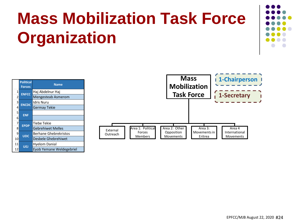## **Mass Mobilization Task Force Organization**



|                | <b>Political</b><br><b>Forces</b> | <b>Name</b>                  |
|----------------|-----------------------------------|------------------------------|
| 1              | <b>ENFCC</b>                      | Haj Abdelnur Haj             |
| $\overline{2}$ |                                   | Mengesteab Asmerom           |
| 3              | <b>ENCDC</b>                      | <b>Idris Nuru</b>            |
| 4              |                                   | <b>Germay Tekie</b>          |
| 5              | <b>ENF</b>                        |                              |
| 6              |                                   |                              |
| 7              | <b>EPDP</b>                       | Tiebe Tekie                  |
| 8              |                                   | <b>Gebrehiwet Melles</b>     |
| 9              | <b>UDC</b>                        | <b>Berhane Ghebrekristos</b> |
| 10             |                                   | Desbele Ghebrehiwet          |
| 11             | UEJ                               | <b>Hyelom Danial</b>         |
| 12             |                                   | Eyob Yemane Weldegebriel     |

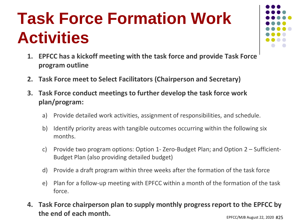#### **Task Force Formation Work Activities**

- 
- **1. EPFCC has a kickoff meeting with the task force and provide Task Force program outline**
- **2. Task Force meet to Select Facilitators (Chairperson and Secretary)**
- **3. Task Force conduct meetings to further develop the task force work plan/program:**
	- a) Provide detailed work activities, assignment of responsibilities, and schedule.
	- b) Identify priority areas with tangible outcomes occurring within the following six months.
	- c) Provide two program options: Option 1- Zero-Budget Plan; and Option 2 Sufficient-Budget Plan (also providing detailed budget)
	- d) Provide a draft program within three weeks after the formation of the task force
	- e) Plan for a follow-up meeting with EPFCC within a month of the formation of the task force.
- EPFCC/MJB August 22, 2020 #25 **4. Task Force chairperson plan to supply monthly progress report to the EPFCC by the end of each month.**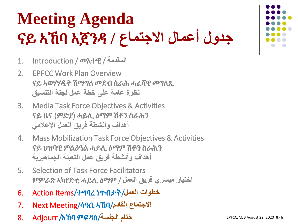#### **Meeting Agenda جدول أعمال االجتماع /** ኣጀንዳ ኣኸባ ናይ

- 1. Introduction / መእተዊ / **المقدمة**
- 2. EPFCC Work Plan Overview ናይ ኣወሃሃዲት ሽማግለ መደብ ስራሕ ሓፈሻዊ መግለጺ **نظرة عامة على خطة عمل لجنة التنسيق**
- 3. Media Task Force Objectives & Activities ናይ ዜና (ምድያ) ሓይሊ ዕማም ሽቶን ስራሕን **أهداف وأنشطة فريق العمل اإلعالمي**
- 4. Mass Mobilization Task Force Objectives & Activities ናይ ህዝባዊ ምልዕዓል ሓይሊ ዕማም ሽቶን ስራሕን **أهداف وأنشطة فريق عمل التعبئة الجماهيرية**
- 5. Selection of Task Force Facilitators **اختيار ميسري فريق العمل** / ዕማም ሓይሊ ኣካየድቲ ምምራጽ
- 6. Action Items/ተግባረ ነጥብታት/**العمل خطوات**
- 7. Next Meeting/ሳዓቢ ኣኸባ/**القادم االجتماع**
- 8. Adjourn/ኣኸባ ምፍዳስ/**الجلسة ختام**